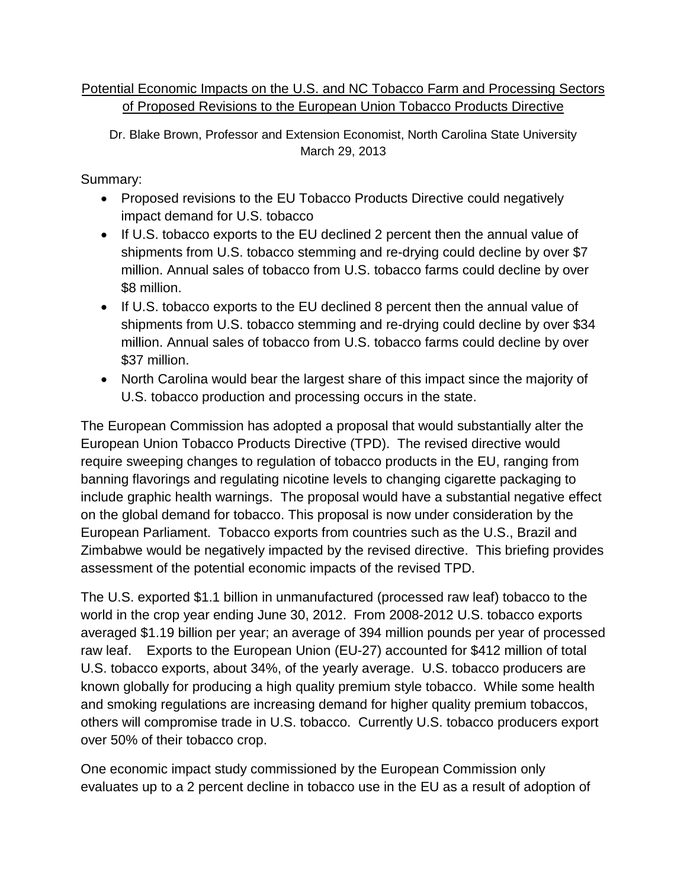## Potential Economic Impacts on the U.S. and NC Tobacco Farm and Processing Sectors of Proposed Revisions to the European Union Tobacco Products Directive

Dr. Blake Brown, Professor and Extension Economist, North Carolina State University March 29, 2013

Summary:

- Proposed revisions to the EU Tobacco Products Directive could negatively impact demand for U.S. tobacco
- If U.S. tobacco exports to the EU declined 2 percent then the annual value of shipments from U.S. tobacco stemming and re-drying could decline by over \$7 million. Annual sales of tobacco from U.S. tobacco farms could decline by over \$8 million.
- If U.S. tobacco exports to the EU declined 8 percent then the annual value of shipments from U.S. tobacco stemming and re-drying could decline by over \$34 million. Annual sales of tobacco from U.S. tobacco farms could decline by over \$37 million.
- North Carolina would bear the largest share of this impact since the majority of U.S. tobacco production and processing occurs in the state.

The European Commission has adopted a proposal that would substantially alter the European Union Tobacco Products Directive (TPD). The revised directive would require sweeping changes to regulation of tobacco products in the EU, ranging from banning flavorings and regulating nicotine levels to changing cigarette packaging to include graphic health warnings. The proposal would have a substantial negative effect on the global demand for tobacco. This proposal is now under consideration by the European Parliament. Tobacco exports from countries such as the U.S., Brazil and Zimbabwe would be negatively impacted by the revised directive. This briefing provides assessment of the potential economic impacts of the revised TPD.

The U.S. exported \$1.1 billion in unmanufactured (processed raw leaf) tobacco to the world in the crop year ending June 30, 2012. From 2008-2012 U.S. tobacco exports averaged \$1.19 billion per year; an average of 394 million pounds per year of processed raw leaf. Exports to the European Union (EU-27) accounted for \$412 million of total U.S. tobacco exports, about 34%, of the yearly average. U.S. tobacco producers are known globally for producing a high quality premium style tobacco. While some health and smoking regulations are increasing demand for higher quality premium tobaccos, others will compromise trade in U.S. tobacco. Currently U.S. tobacco producers export over 50% of their tobacco crop.

One economic impact study commissioned by the European Commission only evaluates up to a 2 percent decline in tobacco use in the EU as a result of adoption of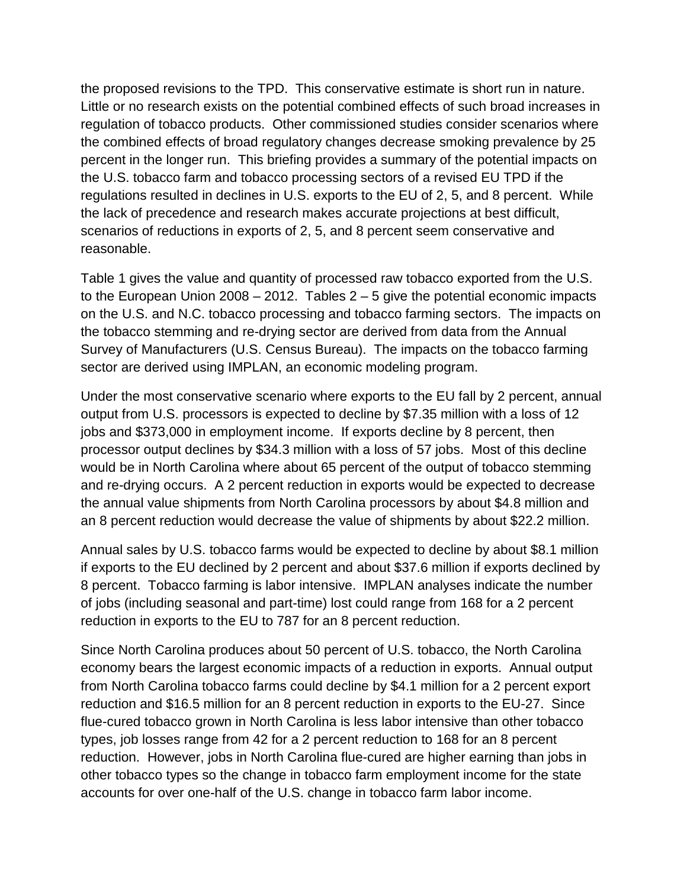the proposed revisions to the TPD. This conservative estimate is short run in nature. Little or no research exists on the potential combined effects of such broad increases in regulation of tobacco products. Other commissioned studies consider scenarios where the combined effects of broad regulatory changes decrease smoking prevalence by 25 percent in the longer run. This briefing provides a summary of the potential impacts on the U.S. tobacco farm and tobacco processing sectors of a revised EU TPD if the regulations resulted in declines in U.S. exports to the EU of 2, 5, and 8 percent. While the lack of precedence and research makes accurate projections at best difficult, scenarios of reductions in exports of 2, 5, and 8 percent seem conservative and reasonable.

Table 1 gives the value and quantity of processed raw tobacco exported from the U.S. to the European Union 2008 – 2012. Tables  $2 - 5$  give the potential economic impacts on the U.S. and N.C. tobacco processing and tobacco farming sectors. The impacts on the tobacco stemming and re-drying sector are derived from data from the Annual Survey of Manufacturers (U.S. Census Bureau). The impacts on the tobacco farming sector are derived using IMPLAN, an economic modeling program.

Under the most conservative scenario where exports to the EU fall by 2 percent, annual output from U.S. processors is expected to decline by \$7.35 million with a loss of 12 jobs and \$373,000 in employment income. If exports decline by 8 percent, then processor output declines by \$34.3 million with a loss of 57 jobs. Most of this decline would be in North Carolina where about 65 percent of the output of tobacco stemming and re-drying occurs. A 2 percent reduction in exports would be expected to decrease the annual value shipments from North Carolina processors by about \$4.8 million and an 8 percent reduction would decrease the value of shipments by about \$22.2 million.

Annual sales by U.S. tobacco farms would be expected to decline by about \$8.1 million if exports to the EU declined by 2 percent and about \$37.6 million if exports declined by 8 percent. Tobacco farming is labor intensive. IMPLAN analyses indicate the number of jobs (including seasonal and part-time) lost could range from 168 for a 2 percent reduction in exports to the EU to 787 for an 8 percent reduction.

Since North Carolina produces about 50 percent of U.S. tobacco, the North Carolina economy bears the largest economic impacts of a reduction in exports. Annual output from North Carolina tobacco farms could decline by \$4.1 million for a 2 percent export reduction and \$16.5 million for an 8 percent reduction in exports to the EU-27. Since flue-cured tobacco grown in North Carolina is less labor intensive than other tobacco types, job losses range from 42 for a 2 percent reduction to 168 for an 8 percent reduction. However, jobs in North Carolina flue-cured are higher earning than jobs in other tobacco types so the change in tobacco farm employment income for the state accounts for over one-half of the U.S. change in tobacco farm labor income.